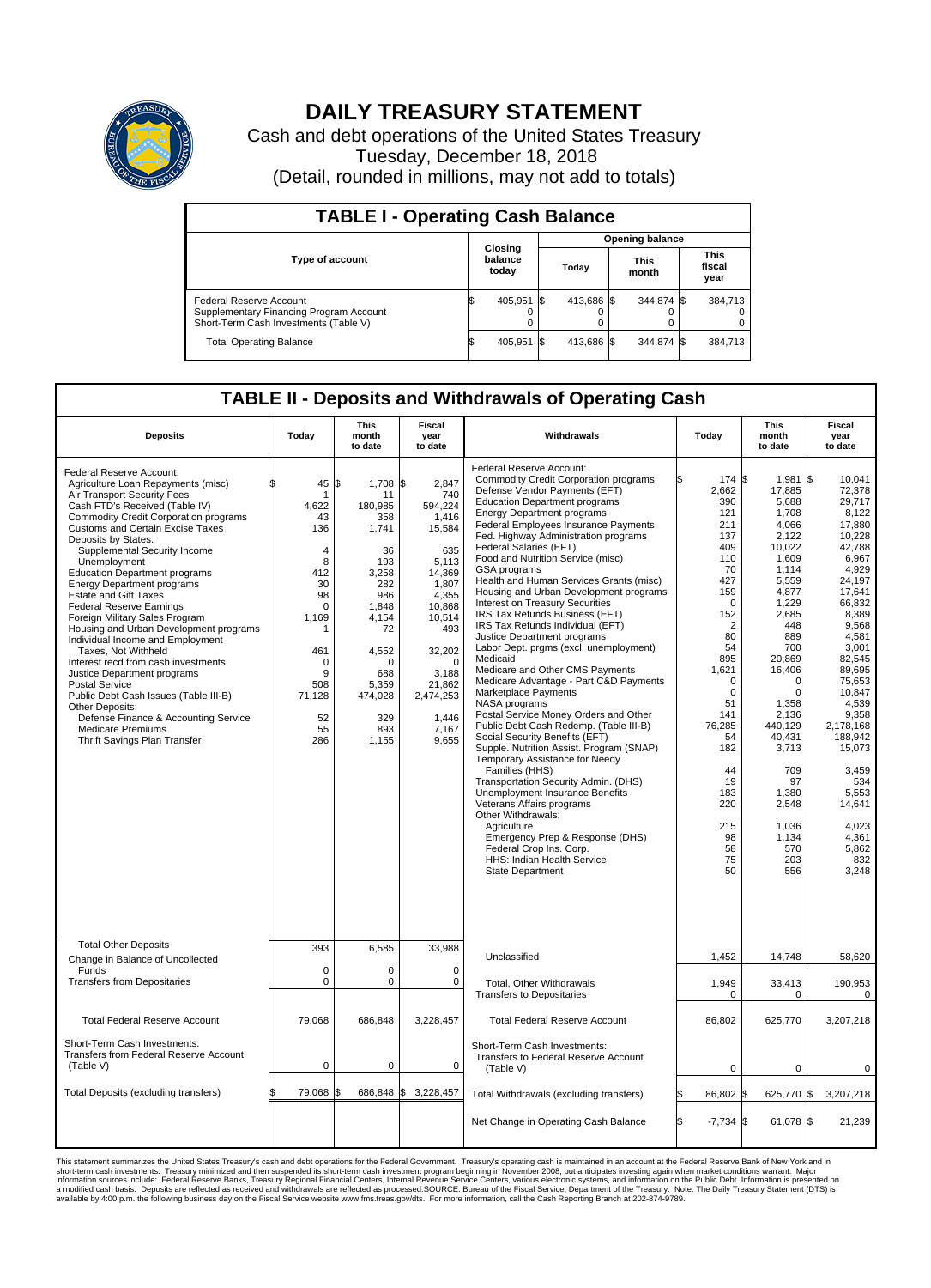

## **DAILY TREASURY STATEMENT**

Cash and debt operations of the United States Treasury Tuesday, December 18, 2018 (Detail, rounded in millions, may not add to totals)

| <b>TABLE I - Operating Cash Balance</b>                                                                     |  |                             |  |                        |  |                      |  |                               |  |  |  |
|-------------------------------------------------------------------------------------------------------------|--|-----------------------------|--|------------------------|--|----------------------|--|-------------------------------|--|--|--|
|                                                                                                             |  | Closing<br>balance<br>today |  | <b>Opening balance</b> |  |                      |  |                               |  |  |  |
| <b>Type of account</b>                                                                                      |  |                             |  | Todav                  |  | <b>This</b><br>month |  | <b>This</b><br>fiscal<br>year |  |  |  |
| Federal Reserve Account<br>Supplementary Financing Program Account<br>Short-Term Cash Investments (Table V) |  | 405.951 \$                  |  | 413.686 \$             |  | 344.874 \$           |  | 384.713                       |  |  |  |
| <b>Total Operating Balance</b>                                                                              |  | 405.951 \$                  |  | 413.686 \$             |  | 344.874 \$           |  | 384,713                       |  |  |  |

## **TABLE II - Deposits and Withdrawals of Operating Cash**

| <b>Deposits</b>                                                                                                                                                                                                                                                                                                                                                                                                                                                                                                                                                                                                                                                                                                                                                                                                                                  | Today                                                                                                                                              | This<br>month<br>to date                                                                                                                                                    | Fiscal<br>year<br>to date                                                                                                                                                                          | Withdrawals                                                                                                                                                                                                                                                                                                                                                                                                                                                                                                                                                                                                                                                                                                                                                                                                                                                                                                                                                                                                                                                                                                                                                                                                                                                    | Today                                                                                                                                                                                                                                                                        | <b>This</b><br>month<br>to date                                                                                                                                                                                                                                                                        | <b>Fiscal</b><br>year<br>to date                                                                                                                                                                                                                                                                                                       |
|--------------------------------------------------------------------------------------------------------------------------------------------------------------------------------------------------------------------------------------------------------------------------------------------------------------------------------------------------------------------------------------------------------------------------------------------------------------------------------------------------------------------------------------------------------------------------------------------------------------------------------------------------------------------------------------------------------------------------------------------------------------------------------------------------------------------------------------------------|----------------------------------------------------------------------------------------------------------------------------------------------------|-----------------------------------------------------------------------------------------------------------------------------------------------------------------------------|----------------------------------------------------------------------------------------------------------------------------------------------------------------------------------------------------|----------------------------------------------------------------------------------------------------------------------------------------------------------------------------------------------------------------------------------------------------------------------------------------------------------------------------------------------------------------------------------------------------------------------------------------------------------------------------------------------------------------------------------------------------------------------------------------------------------------------------------------------------------------------------------------------------------------------------------------------------------------------------------------------------------------------------------------------------------------------------------------------------------------------------------------------------------------------------------------------------------------------------------------------------------------------------------------------------------------------------------------------------------------------------------------------------------------------------------------------------------------|------------------------------------------------------------------------------------------------------------------------------------------------------------------------------------------------------------------------------------------------------------------------------|--------------------------------------------------------------------------------------------------------------------------------------------------------------------------------------------------------------------------------------------------------------------------------------------------------|----------------------------------------------------------------------------------------------------------------------------------------------------------------------------------------------------------------------------------------------------------------------------------------------------------------------------------------|
| Federal Reserve Account:<br>Agriculture Loan Repayments (misc)<br>Air Transport Security Fees<br>Cash FTD's Received (Table IV)<br>Commodity Credit Corporation programs<br><b>Customs and Certain Excise Taxes</b><br>Deposits by States:<br>Supplemental Security Income<br>Unemployment<br><b>Education Department programs</b><br><b>Energy Department programs</b><br><b>Estate and Gift Taxes</b><br><b>Federal Reserve Earnings</b><br>Foreign Military Sales Program<br>Housing and Urban Development programs<br>Individual Income and Employment<br>Taxes. Not Withheld<br>Interest recd from cash investments<br>Justice Department programs<br><b>Postal Service</b><br>Public Debt Cash Issues (Table III-B)<br>Other Deposits:<br>Defense Finance & Accounting Service<br><b>Medicare Premiums</b><br>Thrift Savings Plan Transfer | \$<br>45<br>1<br>4,622<br>43<br>136<br>4<br>8<br>412<br>30<br>98<br>$\mathbf 0$<br>1,169<br>1<br>461<br>0<br>9<br>508<br>71,128<br>52<br>55<br>286 | \$<br>1,708 \$<br>11<br>180,985<br>358<br>1,741<br>36<br>193<br>3,258<br>282<br>986<br>1,848<br>4,154<br>72<br>4,552<br>O<br>688<br>5,359<br>474,028<br>329<br>893<br>1,155 | 2,847<br>740<br>594,224<br>1,416<br>15,584<br>635<br>5,113<br>14,369<br>1,807<br>4,355<br>10,868<br>10,514<br>493<br>32,202<br>$\Omega$<br>3,188<br>21,862<br>2,474,253<br>1,446<br>7,167<br>9,655 | Federal Reserve Account:<br><b>Commodity Credit Corporation programs</b><br>Defense Vendor Payments (EFT)<br><b>Education Department programs</b><br><b>Energy Department programs</b><br>Federal Employees Insurance Payments<br>Fed. Highway Administration programs<br>Federal Salaries (EFT)<br>Food and Nutrition Service (misc)<br>GSA programs<br>Health and Human Services Grants (misc)<br>Housing and Urban Development programs<br>Interest on Treasury Securities<br>IRS Tax Refunds Business (EFT)<br>IRS Tax Refunds Individual (EFT)<br>Justice Department programs<br>Labor Dept. prgms (excl. unemployment)<br>Medicaid<br>Medicare and Other CMS Payments<br>Medicare Advantage - Part C&D Payments<br>Marketplace Payments<br>NASA programs<br>Postal Service Money Orders and Other<br>Public Debt Cash Redemp. (Table III-B)<br>Social Security Benefits (EFT)<br>Supple. Nutrition Assist. Program (SNAP)<br>Temporary Assistance for Needy<br>Families (HHS)<br>Transportation Security Admin. (DHS)<br>Unemployment Insurance Benefits<br>Veterans Affairs programs<br>Other Withdrawals:<br>Agriculture<br>Emergency Prep & Response (DHS)<br>Federal Crop Ins. Corp.<br><b>HHS: Indian Health Service</b><br><b>State Department</b> | 174 \$<br>2,662<br>390<br>121<br>211<br>137<br>409<br>110<br>70<br>427<br>159<br>$\mathbf 0$<br>152<br>$\overline{2}$<br>80<br>54<br>895<br>1,621<br>$\mathbf 0$<br>$\mathbf 0$<br>51<br>141<br>76,285<br>54<br>182<br>44<br>19<br>183<br>220<br>215<br>98<br>58<br>75<br>50 | 1,981<br>17,885<br>5,688<br>1,708<br>4.066<br>2,122<br>10,022<br>1,609<br>1,114<br>5,559<br>4,877<br>1,229<br>2,685<br>448<br>889<br>700<br>20.869<br>16,406<br>0<br>$\mathbf 0$<br>1,358<br>2,136<br>440,129<br>40,431<br>3,713<br>709<br>97<br>1,380<br>2,548<br>1,036<br>1.134<br>570<br>203<br>556 | l\$<br>10.041<br>72,378<br>29.717<br>8,122<br>17,880<br>10,228<br>42,788<br>6,967<br>4,929<br>24.197<br>17,641<br>66,832<br>8,389<br>9.568<br>4,581<br>3,001<br>82.545<br>89.695<br>75,653<br>10,847<br>4.539<br>9,358<br>2,178,168<br>188,942<br>15,073<br>3,459<br>534<br>5,553<br>14,641<br>4,023<br>4.361<br>5,862<br>832<br>3,248 |
| <b>Total Other Deposits</b><br>Change in Balance of Uncollected                                                                                                                                                                                                                                                                                                                                                                                                                                                                                                                                                                                                                                                                                                                                                                                  | 393                                                                                                                                                | 6,585                                                                                                                                                                       | 33,988                                                                                                                                                                                             | Unclassified                                                                                                                                                                                                                                                                                                                                                                                                                                                                                                                                                                                                                                                                                                                                                                                                                                                                                                                                                                                                                                                                                                                                                                                                                                                   | 1,452                                                                                                                                                                                                                                                                        | 14,748                                                                                                                                                                                                                                                                                                 | 58,620                                                                                                                                                                                                                                                                                                                                 |
| Funds<br><b>Transfers from Depositaries</b>                                                                                                                                                                                                                                                                                                                                                                                                                                                                                                                                                                                                                                                                                                                                                                                                      | $\mathbf 0$<br>$\mathbf 0$                                                                                                                         | $\Omega$<br>0                                                                                                                                                               | $\Omega$<br>0                                                                                                                                                                                      | Total, Other Withdrawals<br><b>Transfers to Depositaries</b>                                                                                                                                                                                                                                                                                                                                                                                                                                                                                                                                                                                                                                                                                                                                                                                                                                                                                                                                                                                                                                                                                                                                                                                                   | 1,949<br>$\mathbf 0$                                                                                                                                                                                                                                                         | 33,413<br>0                                                                                                                                                                                                                                                                                            | 190,953<br>$\mathbf 0$                                                                                                                                                                                                                                                                                                                 |
| <b>Total Federal Reserve Account</b>                                                                                                                                                                                                                                                                                                                                                                                                                                                                                                                                                                                                                                                                                                                                                                                                             | 79,068                                                                                                                                             | 686,848                                                                                                                                                                     | 3,228,457                                                                                                                                                                                          | <b>Total Federal Reserve Account</b>                                                                                                                                                                                                                                                                                                                                                                                                                                                                                                                                                                                                                                                                                                                                                                                                                                                                                                                                                                                                                                                                                                                                                                                                                           | 86,802                                                                                                                                                                                                                                                                       | 625,770                                                                                                                                                                                                                                                                                                | 3,207,218                                                                                                                                                                                                                                                                                                                              |
| Short-Term Cash Investments:<br>Transfers from Federal Reserve Account<br>(Table V)                                                                                                                                                                                                                                                                                                                                                                                                                                                                                                                                                                                                                                                                                                                                                              | $\mathbf 0$                                                                                                                                        | 0                                                                                                                                                                           | 0                                                                                                                                                                                                  | Short-Term Cash Investments:<br>Transfers to Federal Reserve Account<br>(Table V)                                                                                                                                                                                                                                                                                                                                                                                                                                                                                                                                                                                                                                                                                                                                                                                                                                                                                                                                                                                                                                                                                                                                                                              | $\mathbf 0$                                                                                                                                                                                                                                                                  | $\mathbf 0$                                                                                                                                                                                                                                                                                            | 0                                                                                                                                                                                                                                                                                                                                      |
| Total Deposits (excluding transfers)                                                                                                                                                                                                                                                                                                                                                                                                                                                                                                                                                                                                                                                                                                                                                                                                             | 79,068<br>\$                                                                                                                                       | 686,848 \$                                                                                                                                                                  | 3,228,457                                                                                                                                                                                          | Total Withdrawals (excluding transfers)                                                                                                                                                                                                                                                                                                                                                                                                                                                                                                                                                                                                                                                                                                                                                                                                                                                                                                                                                                                                                                                                                                                                                                                                                        | 86,802 \$                                                                                                                                                                                                                                                                    | 625,770 \$                                                                                                                                                                                                                                                                                             | 3,207,218                                                                                                                                                                                                                                                                                                                              |
|                                                                                                                                                                                                                                                                                                                                                                                                                                                                                                                                                                                                                                                                                                                                                                                                                                                  |                                                                                                                                                    |                                                                                                                                                                             |                                                                                                                                                                                                    | Net Change in Operating Cash Balance                                                                                                                                                                                                                                                                                                                                                                                                                                                                                                                                                                                                                                                                                                                                                                                                                                                                                                                                                                                                                                                                                                                                                                                                                           | \$.<br>$-7,734$ \$                                                                                                                                                                                                                                                           | 61,078 \$                                                                                                                                                                                                                                                                                              | 21,239                                                                                                                                                                                                                                                                                                                                 |

This statement summarizes the United States Treasury's cash and debt operations for the Federal Government. Treasury soperating in November 2008, but anticiarded in a cocount at the Federal Reserve Bank of New York and in<br>